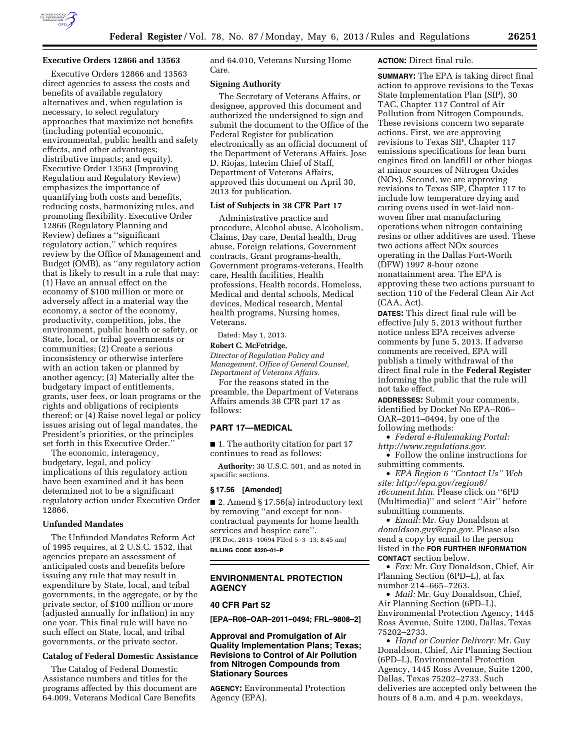

## **Executive Orders 12866 and 13563**

Executive Orders 12866 and 13563 direct agencies to assess the costs and benefits of available regulatory alternatives and, when regulation is necessary, to select regulatory approaches that maximize net benefits (including potential economic, environmental, public health and safety effects, and other advantages; distributive impacts; and equity). Executive Order 13563 (Improving Regulation and Regulatory Review) emphasizes the importance of quantifying both costs and benefits, reducing costs, harmonizing rules, and promoting flexibility. Executive Order 12866 (Regulatory Planning and Review) defines a ''significant regulatory action,'' which requires review by the Office of Management and Budget (OMB), as ''any regulatory action that is likely to result in a rule that may: (1) Have an annual effect on the economy of \$100 million or more or adversely affect in a material way the economy, a sector of the economy, productivity, competition, jobs, the environment, public health or safety, or State, local, or tribal governments or communities; (2) Create a serious inconsistency or otherwise interfere with an action taken or planned by another agency; (3) Materially alter the budgetary impact of entitlements, grants, user fees, or loan programs or the rights and obligations of recipients thereof; or (4) Raise novel legal or policy issues arising out of legal mandates, the President's priorities, or the principles set forth in this Executive Order.''

The economic, interagency, budgetary, legal, and policy implications of this regulatory action have been examined and it has been determined not to be a significant regulatory action under Executive Order 12866.

# **Unfunded Mandates**

The Unfunded Mandates Reform Act of 1995 requires, at 2 U.S.C. 1532, that agencies prepare an assessment of anticipated costs and benefits before issuing any rule that may result in expenditure by State, local, and tribal governments, in the aggregate, or by the private sector, of \$100 million or more (adjusted annually for inflation) in any one year. This final rule will have no such effect on State, local, and tribal governments, or the private sector.

# **Catalog of Federal Domestic Assistance**

The Catalog of Federal Domestic Assistance numbers and titles for the programs affected by this document are 64.009, Veterans Medical Care Benefits

and 64.010, Veterans Nursing Home Care.

### **Signing Authority**

The Secretary of Veterans Affairs, or designee, approved this document and authorized the undersigned to sign and submit the document to the Office of the Federal Register for publication electronically as an official document of the Department of Veterans Affairs. Jose D. Riojas, Interim Chief of Staff, Department of Veterans Affairs, approved this document on April 30, 2013 for publication.

### **List of Subjects in 38 CFR Part 17**

Administrative practice and procedure, Alcohol abuse, Alcoholism, Claims, Day care, Dental health, Drug abuse, Foreign relations, Government contracts, Grant programs-health, Government programs-veterans, Health care, Health facilities, Health professions, Health records, Homeless, Medical and dental schools, Medical devices, Medical research, Mental health programs, Nursing homes, Veterans.

Dated: May 1, 2013. **Robert C. McFetridge,** 

*Director of Regulation Policy and Management, Office of General Counsel, Department of Veterans Affairs.* 

For the reasons stated in the preamble, the Department of Veterans Affairs amends 38 CFR part 17 as follows:

## **PART 17—MEDICAL**

■ 1. The authority citation for part 17 continues to read as follows:

**Authority:** 38 U.S.C. 501, and as noted in specific sections.

#### **§ 17.56 [Amended]**

■ 2. Amend § 17.56(a) introductory text by removing ''and except for noncontractual payments for home health services and hospice care''. [FR Doc. 2013–10694 Filed 5–3–13; 8:45 am] **BILLING CODE 8320–01–P** 

# **ENVIRONMENTAL PROTECTION AGENCY**

## **40 CFR Part 52**

**[EPA–R06–OAR–2011–0494; FRL–9808–2]** 

**Approval and Promulgation of Air Quality Implementation Plans; Texas; Revisions to Control of Air Pollution from Nitrogen Compounds from Stationary Sources** 

**AGENCY:** Environmental Protection Agency (EPA).

# **ACTION:** Direct final rule.

**SUMMARY:** The EPA is taking direct final action to approve revisions to the Texas State Implementation Plan (SIP), 30 TAC, Chapter 117 Control of Air Pollution from Nitrogen Compounds. These revisions concern two separate actions. First, we are approving revisions to Texas SIP, Chapter 117 emissions specifications for lean burn engines fired on landfill or other biogas at minor sources of Nitrogen Oxides (NOx). Second, we are approving revisions to Texas SIP, Chapter 117 to include low temperature drying and curing ovens used in wet-laid nonwoven fiber mat manufacturing operations when nitrogen containing resins or other additives are used. These two actions affect NOx sources operating in the Dallas Fort-Worth (DFW) 1997 8-hour ozone nonattainment area. The EPA is approving these two actions pursuant to section 110 of the Federal Clean Air Act (CAA, Act).

**DATES:** This direct final rule will be effective July 5, 2013 without further notice unless EPA receives adverse comments by June 5, 2013. If adverse comments are received, EPA will publish a timely withdrawal of the direct final rule in the **Federal Register**  informing the public that the rule will not take effect.

**ADDRESSES:** Submit your comments, identified by Docket No EPA–R06– OAR–2011–0494, by one of the following methods:

• *Federal e-Rulemaking Portal: <http://www.regulations.gov>*.

• Follow the online instructions for submitting comments.

• *EPA Region 6 ''Contact Us'' Web site: [http://epa.gov/region6/](http://epa.gov/region6/r6coment.htm) [r6coment.htm](http://epa.gov/region6/r6coment.htm)*. Please click on ''6PD (Multimedia)'' and select ''Air'' before submitting comments.

• *Email:* Mr. Guy Donaldson at *[donaldson.guy@epa.gov](mailto:donaldson.guy@epa.gov)*. Please also send a copy by email to the person listed in the **FOR FURTHER INFORMATION CONTACT** section below.

• *Fax:* Mr. Guy Donaldson, Chief, Air Planning Section (6PD–L), at fax number 214–665–7263.

• *Mail:* Mr. Guy Donaldson, Chief, Air Planning Section (6PD–L), Environmental Protection Agency, 1445 Ross Avenue, Suite 1200, Dallas, Texas 75202–2733.

• *Hand or Courier Delivery:* Mr. Guy Donaldson, Chief, Air Planning Section (6PD–L), Environmental Protection Agency, 1445 Ross Avenue, Suite 1200, Dallas, Texas 75202–2733. Such deliveries are accepted only between the hours of 8 a.m. and 4 p.m. weekdays,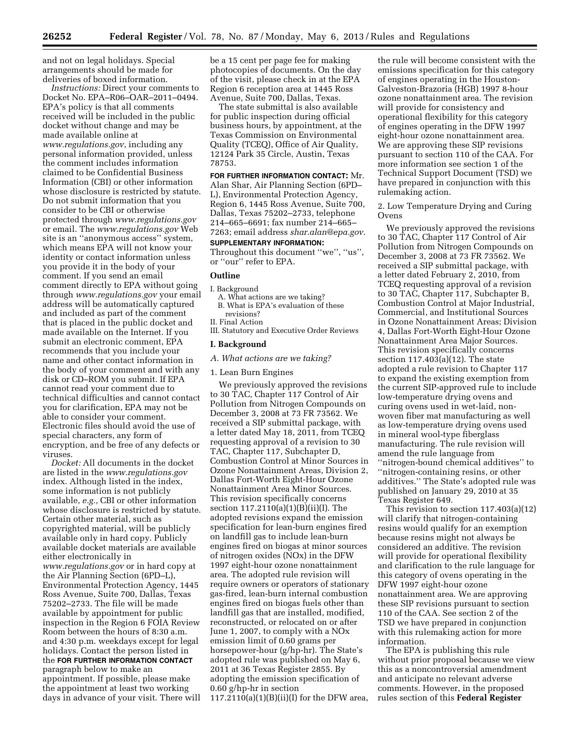and not on legal holidays. Special arrangements should be made for deliveries of boxed information.

*Instructions:* Direct your comments to Docket No. EPA–R06–OAR–2011–0494. EPA's policy is that all comments received will be included in the public docket without change and may be made available online at *[www.regulations.gov](http://www.regulations.gov)*, including any personal information provided, unless the comment includes information claimed to be Confidential Business Information (CBI) or other information whose disclosure is restricted by statute. Do not submit information that you consider to be CBI or otherwise protected through *[www.regulations.gov](http://www.regulations.gov)*  or email. The *[www.regulations.gov](http://www.regulations.gov)* Web site is an ''anonymous access'' system, which means EPA will not know your identity or contact information unless you provide it in the body of your comment. If you send an email comment directly to EPA without going through *[www.regulations.gov](http://www.regulations.gov)* your email address will be automatically captured and included as part of the comment that is placed in the public docket and made available on the Internet. If you submit an electronic comment, EPA recommends that you include your name and other contact information in the body of your comment and with any disk or CD–ROM you submit. If EPA cannot read your comment due to technical difficulties and cannot contact you for clarification, EPA may not be able to consider your comment. Electronic files should avoid the use of special characters, any form of encryption, and be free of any defects or viruses.

*Docket:* All documents in the docket are listed in the *[www.regulations.gov](http://www.regulations.govindex)*  [index.](http://www.regulations.govindex) Although listed in the index, some information is not publicly available, *e.g.,* CBI or other information whose disclosure is restricted by statute. Certain other material, such as copyrighted material, will be publicly available only in hard copy. Publicly available docket materials are available either electronically in *[www.regulations.gov](http://www.regulations.gov)* or in hard copy at the Air Planning Section (6PD–L), Environmental Protection Agency, 1445 Ross Avenue, Suite 700, Dallas, Texas 75202–2733. The file will be made available by appointment for public inspection in the Region 6 FOIA Review Room between the hours of 8:30 a.m. and 4:30 p.m. weekdays except for legal holidays. Contact the person listed in the **FOR FURTHER INFORMATION CONTACT** paragraph below to make an appointment. If possible, please make the appointment at least two working days in advance of your visit. There will be a 15 cent per page fee for making photocopies of documents. On the day of the visit, please check in at the EPA Region 6 reception area at 1445 Ross Avenue, Suite 700, Dallas, Texas.

The state submittal is also available for public inspection during official business hours, by appointment, at the Texas Commission on Environmental Quality (TCEQ), Office of Air Quality, 12124 Park 35 Circle, Austin, Texas 78753.

# **FOR FURTHER INFORMATION CONTACT:** Mr.

Alan Shar, Air Planning Section (6PD– L), Environmental Protection Agency, Region 6, 1445 Ross Avenue, Suite 700, Dallas, Texas 75202–2733, telephone 214–665–6691; fax number 214–665– 7263; email address *[shar.alan@epa.gov](mailto:shar.alan@epa.gov)*.

### **SUPPLEMENTARY INFORMATION:**

Throughout this document ''we'', ''us'', or ''our'' refer to EPA.

# **Outline**

- I. Background
	- A. What actions are we taking? B. What is EPA's evaluation of these revisions?
- II. Final Action
- III. Statutory and Executive Order Reviews

#### **I. Background**

*A. What actions are we taking?* 

#### 1. Lean Burn Engines

We previously approved the revisions to 30 TAC, Chapter 117 Control of Air Pollution from Nitrogen Compounds on December 3, 2008 at 73 FR 73562. We received a SIP submittal package, with a letter dated May 18, 2011, from TCEQ requesting approval of a revision to 30 TAC, Chapter 117, Subchapter D, Combustion Control at Minor Sources in Ozone Nonattainment Areas, Division 2, Dallas Fort-Worth Eight-Hour Ozone Nonattainment Area Minor Sources. This revision specifically concerns section 117.2110(a)(1)(B)(ii)(I). The adopted revisions expand the emission specification for lean-burn engines fired on landfill gas to include lean-burn engines fired on biogas at minor sources of nitrogen oxides (NOx) in the DFW 1997 eight-hour ozone nonattainment area. The adopted rule revision will require owners or operators of stationary gas-fired, lean-burn internal combustion engines fired on biogas fuels other than landfill gas that are installed, modified, reconstructed, or relocated on or after June 1, 2007, to comply with a NOx emission limit of 0.60 grams per horsepower-hour (g/hp-hr). The State's adopted rule was published on May 6, 2011 at 36 Texas Register 2855. By adopting the emission specification of 0.60 g/hp-hr in section  $117.2110(a)(1)(B)(ii)(I)$  for the DFW area,

the rule will become consistent with the emissions specification for this category of engines operating in the Houston-Galveston-Brazoria (HGB) 1997 8-hour ozone nonattainment area. The revision will provide for consistency and operational flexibility for this category of engines operating in the DFW 1997 eight-hour ozone nonattainment area. We are approving these SIP revisions pursuant to section 110 of the CAA. For more information see section 1 of the Technical Support Document (TSD) we have prepared in conjunction with this rulemaking action.

2. Low Temperature Drying and Curing Ovens

We previously approved the revisions to 30 TAC, Chapter 117 Control of Air Pollution from Nitrogen Compounds on December 3, 2008 at 73 FR 73562. We received a SIP submittal package, with a letter dated February 2, 2010, from TCEQ requesting approval of a revision to 30 TAC, Chapter 117, Subchapter B, Combustion Control at Major Industrial, Commercial, and Institutional Sources in Ozone Nonattainment Areas; Division 4, Dallas Fort-Worth Eight-Hour Ozone Nonattainment Area Major Sources. This revision specifically concerns section 117.403(a)(12). The state adopted a rule revision to Chapter 117 to expand the existing exemption from the current SIP-approved rule to include low-temperature drying ovens and curing ovens used in wet-laid, nonwoven fiber mat manufacturing as well as low-temperature drying ovens used in mineral wool-type fiberglass manufacturing. The rule revision will amend the rule language from ''nitrogen-bound chemical additives'' to ''nitrogen-containing resins, or other additives.'' The State's adopted rule was published on January 29, 2010 at 35 Texas Register 649.

This revision to section 117.403(a)(12) will clarify that nitrogen-containing resins would qualify for an exemption because resins might not always be considered an additive. The revision will provide for operational flexibility and clarification to the rule language for this category of ovens operating in the DFW 1997 eight-hour ozone nonattainment area. We are approving these SIP revisions pursuant to section 110 of the CAA. See section 2 of the TSD we have prepared in conjunction with this rulemaking action for more information.

The EPA is publishing this rule without prior proposal because we view this as a noncontroversial amendment and anticipate no relevant adverse comments. However, in the proposed rules section of this **Federal Register**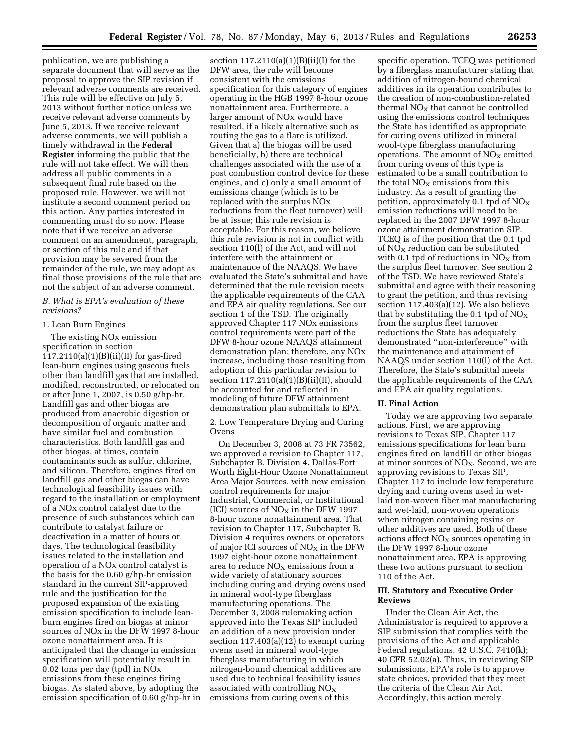publication, we are publishing a separate document that will serve as the proposal to approve the SIP revision if relevant adverse comments are received. This rule will be effective on July 5, 2013 without further notice unless we receive relevant adverse comments by June 5, 2013. If we receive relevant adverse comments, we will publish a timely withdrawal in the **Federal Register** informing the public that the rule will not take effect. We will then address all public comments in a subsequent final rule based on the proposed rule. However, we will not institute a second comment period on this action. Any parties interested in commenting must do so now. Please note that if we receive an adverse comment on an amendment, paragraph, or section of this rule and if that provision may be severed from the remainder of the rule, we may adopt as final those provisions of the rule that are not the subject of an adverse comment.

### *B. What is EPA's evaluation of these revisions?*

#### 1. Lean Burn Engines

The existing NOx emission specification in section 117.2110(a)(1)(B)(ii)(II) for gas-fired lean-burn engines using gaseous fuels other than landfill gas that are installed, modified, reconstructed, or relocated on or after June 1, 2007, is 0.50 g/hp-hr. Landfill gas and other biogas are produced from anaerobic digestion or decomposition of organic matter and have similar fuel and combustion characteristics. Both landfill gas and other biogas, at times, contain contaminants such as sulfur, chlorine, and silicon. Therefore, engines fired on landfill gas and other biogas can have technological feasibility issues with regard to the installation or employment of a NOx control catalyst due to the presence of such substances which can contribute to catalyst failure or deactivation in a matter of hours or days. The technological feasibility issues related to the installation and operation of a NOx control catalyst is the basis for the 0.60 g/hp-hr emission standard in the current SIP-approved rule and the justification for the proposed expansion of the existing emission specification to include leanburn engines fired on biogas at minor sources of NOx in the DFW 1997 8-hour ozone nonattainment area. It is anticipated that the change in emission specification will potentially result in 0.02 tons per day (tpd) in NOx emissions from these engines firing biogas. As stated above, by adopting the emission specification of 0.60 g/hp-hr in

section  $117.2110(a)(1)(B)(ii)(I)$  for the DFW area, the rule will become consistent with the emissions specification for this category of engines operating in the HGB 1997 8-hour ozone nonattainment area. Furthermore, a larger amount of NOx would have resulted, if a likely alternative such as routing the gas to a flare is utilized. Given that a) the biogas will be used beneficially, b) there are technical challenges associated with the use of a post combustion control device for these engines, and c) only a small amount of emissions change (which is to be replaced with the surplus NOx reductions from the fleet turnover) will be at issue; this rule revision is acceptable. For this reason, we believe this rule revision is not in conflict with section 110(l) of the Act, and will not interfere with the attainment or maintenance of the NAAQS. We have evaluated the State's submittal and have determined that the rule revision meets the applicable requirements of the CAA and EPA air quality regulations. See our section 1 of the TSD. The originally approved Chapter 117 NOx emissions control requirements were part of the DFW 8-hour ozone NAAQS attainment demonstration plan; therefore, any NOx increase, including those resulting from adoption of this particular revision to section 117.2110(a)(1)(B)(ii)(II), should be accounted for and reflected in modeling of future DFW attainment demonstration plan submittals to EPA.

2. Low Temperature Drying and Curing Ovens

On December 3, 2008 at 73 FR 73562, we approved a revision to Chapter 117, Subchapter B, Division 4, Dallas-Fort Worth Eight-Hour Ozone Nonattainment Area Major Sources, with new emission control requirements for major Industrial, Commercial, or Institutional (ICI) sources of  $NO<sub>X</sub>$  in the DFW 1997 8-hour ozone nonattainment area. That revision to Chapter 117, Subchapter B, Division 4 requires owners or operators of major ICI sources of  $NO<sub>X</sub>$  in the DFW 1997 eight-hour ozone nonattainment area to reduce  $NO<sub>X</sub>$  emissions from a wide variety of stationary sources including curing and drying ovens used in mineral wool-type fiberglass manufacturing operations. The December 3, 2008 rulemaking action approved into the Texas SIP included an addition of a new provision under section  $117.403(a)(12)$  to exempt curing ovens used in mineral wool-type fiberglass manufacturing in which nitrogen-bound chemical additives are used due to technical feasibility issues associated with controlling  $NO<sub>x</sub>$ emissions from curing ovens of this

specific operation. TCEQ was petitioned by a fiberglass manufacturer stating that addition of nitrogen-bound chemical additives in its operation contributes to the creation of non-combustion-related thermal  $NO<sub>x</sub>$  that cannot be controlled using the emissions control techniques the State has identified as appropriate for curing ovens utilized in mineral wool-type fiberglass manufacturing operations. The amount of  $NO<sub>x</sub>$  emitted from curing ovens of this type is estimated to be a small contribution to the total  $NO<sub>x</sub>$  emissions from this industry. As a result of granting the petition, approximately 0.1 tpd of  $NO<sub>X</sub>$ emission reductions will need to be replaced in the 2007 DFW 1997 8-hour ozone attainment demonstration SIP. TCEQ is of the position that the 0.1 tpd of  $NO<sub>x</sub>$  reduction can be substituted with 0.1 tpd of reductions in  $NO<sub>X</sub>$  from the surplus fleet turnover. See section 2 of the TSD. We have reviewed State's submittal and agree with their reasoning to grant the petition, and thus revising section 117.403(a)(12). We also believe that by substituting the 0.1 tpd of  $NO<sub>X</sub>$ from the surplus fleet turnover reductions the State has adequately demonstrated ''non-interference'' with the maintenance and attainment of NAAQS under section 110(l) of the Act. Therefore, the State's submittal meets the applicable requirements of the CAA and EPA air quality regulations.

#### **II. Final Action**

Today we are approving two separate actions. First, we are approving revisions to Texas SIP, Chapter 117 emissions specifications for lean burn engines fired on landfill or other biogas at minor sources of  $NO<sub>X</sub>$ . Second, we are approving revisions to Texas SIP, Chapter 117 to include low temperature drying and curing ovens used in wetlaid non-woven fiber mat manufacturing and wet-laid, non-woven operations when nitrogen containing resins or other additives are used. Both of these actions affect  $NO<sub>x</sub>$  sources operating in the DFW 1997 8-hour ozone nonattainment area. EPA is approving these two actions pursuant to section 110 of the Act.

## **III. Statutory and Executive Order Reviews**

Under the Clean Air Act, the Administrator is required to approve a SIP submission that complies with the provisions of the Act and applicable Federal regulations. 42 U.S.C. 7410(k); 40 CFR 52.02(a). Thus, in reviewing SIP submissions, EPA's role is to approve state choices, provided that they meet the criteria of the Clean Air Act. Accordingly, this action merely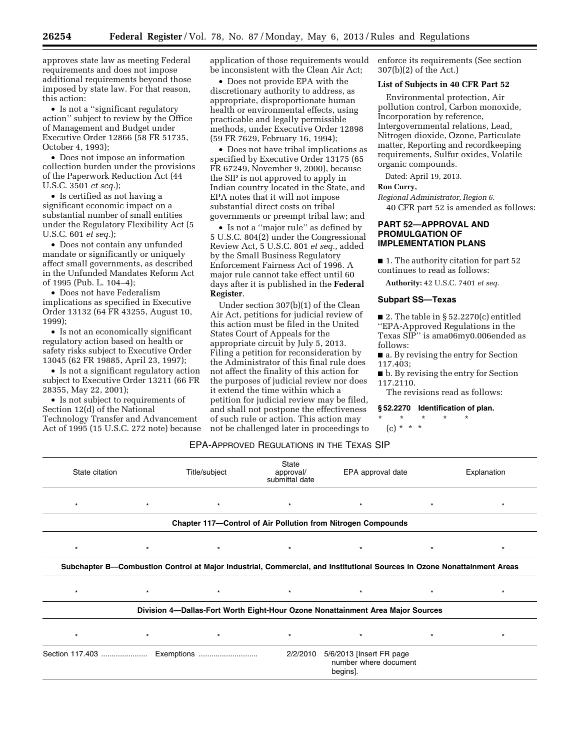approves state law as meeting Federal requirements and does not impose additional requirements beyond those imposed by state law. For that reason, this action:

• Is not a ''significant regulatory action'' subject to review by the Office of Management and Budget under Executive Order 12866 (58 FR 51735, October 4, 1993);

• Does not impose an information collection burden under the provisions of the Paperwork Reduction Act (44 U.S.C. 3501 *et seq.*);

• Is certified as not having a significant economic impact on a substantial number of small entities under the Regulatory Flexibility Act (5 U.S.C. 601 *et seq.*);

• Does not contain any unfunded mandate or significantly or uniquely affect small governments, as described in the Unfunded Mandates Reform Act of 1995 (Pub. L. 104–4);

• Does not have Federalism implications as specified in Executive Order 13132 (64 FR 43255, August 10, 1999);

• Is not an economically significant regulatory action based on health or safety risks subject to Executive Order 13045 (62 FR 19885, April 23, 1997);

• Is not a significant regulatory action subject to Executive Order 13211 (66 FR 28355, May 22, 2001);

• Is not subject to requirements of Section 12(d) of the National Technology Transfer and Advancement Act of 1995 (15 U.S.C. 272 note) because application of those requirements would be inconsistent with the Clean Air Act;

• Does not provide EPA with the discretionary authority to address, as appropriate, disproportionate human health or environmental effects, using practicable and legally permissible methods, under Executive Order 12898 (59 FR 7629, February 16, 1994);

• Does not have tribal implications as specified by Executive Order 13175 (65 FR 67249, November 9, 2000), because the SIP is not approved to apply in Indian country located in the State, and EPA notes that it will not impose substantial direct costs on tribal governments or preempt tribal law; and

• Is not a ''major rule'' as defined by 5 U.S.C. 804(2) under the Congressional Review Act, 5 U.S.C. 801 *et seq.,* added by the Small Business Regulatory Enforcement Fairness Act of 1996. A major rule cannot take effect until 60 days after it is published in the **Federal Register**.

Under section 307(b)(1) of the Clean Air Act, petitions for judicial review of this action must be filed in the United States Court of Appeals for the appropriate circuit by July 5, 2013. Filing a petition for reconsideration by the Administrator of this final rule does not affect the finality of this action for the purposes of judicial review nor does it extend the time within which a petition for judicial review may be filed, and shall not postpone the effectiveness of such rule or action. This action may not be challenged later in proceedings to enforce its requirements (See section 307(b)(2) of the Act.)

#### **List of Subjects in 40 CFR Part 52**

Environmental protection, Air pollution control, Carbon monoxide, Incorporation by reference, Intergovernmental relations, Lead, Nitrogen dioxide, Ozone, Particulate matter, Reporting and recordkeeping requirements, Sulfur oxides, Volatile organic compounds.

Dated: April 19, 2013.

# **Ron Curry,**

*Regional Administrator, Region 6.*  40 CFR part 52 is amended as follows:

# **PART 52—APPROVAL AND PROMULGATION OF IMPLEMENTATION PLANS**

■ 1. The authority citation for part 52 continues to read as follows:

**Authority:** 42 U.S.C. 7401 *et seq.* 

# **Subpart SS—Texas**

■ 2. The table in §  $52.2270(c)$  entitled ''EPA-Approved Regulations in the Texas SIP'' is ama06my0.006ended as follows:

■ a. By revising the entry for Section 117.403;

■ **b.** By revising the entry for Section 117.2110.

The revisions read as follows:

## **§ 52.2270 Identification of plan.**

\* \* \* \* \* (c) \* \* \*

#### EPA-APPROVED REGULATIONS IN THE TEXAS SIP

| State citation |         | Title/subject | <b>State</b><br>approval/<br>submittal date | EPA approval date                                                                                                       |         | Explanation |
|----------------|---------|---------------|---------------------------------------------|-------------------------------------------------------------------------------------------------------------------------|---------|-------------|
| $\star$        | $\star$ | $\star$       | $\star$                                     | $\star$                                                                                                                 | $\star$ | $\star$     |
|                |         |               |                                             | Chapter 117-Control of Air Pollution from Nitrogen Compounds                                                            |         |             |
| $\star$        | $\star$ | $\star$       | $\star$                                     | $\star$                                                                                                                 | $\star$ |             |
|                |         |               |                                             | Subchapter B-Combustion Control at Major Industrial, Commercial, and Institutional Sources in Ozone Nonattainment Areas |         |             |
| $\star$        | $\star$ | $\star$       | $\star$                                     | $\star$                                                                                                                 | $\star$ | $\star$     |
|                |         |               |                                             | Division 4-Dallas-Fort Worth Eight-Hour Ozone Nonattainment Area Major Sources                                          |         |             |
| $\star$        | $\star$ | $\star$       | $\star$                                     | $\star$                                                                                                                 | $\star$ | $\star$     |
|                |         |               | 2/2/2010                                    | 5/6/2013 [Insert FR page<br>number where document<br>begins].                                                           |         |             |